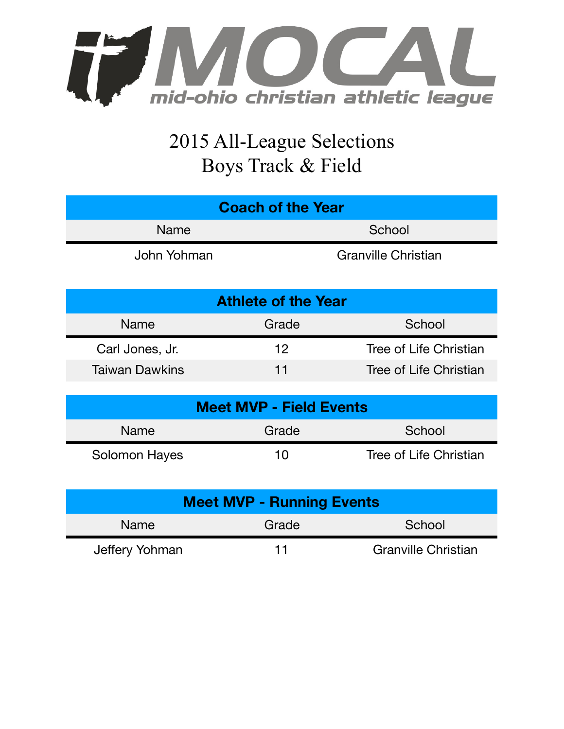

## 2015 All-League Selections Boys Track & Field

| <b>Coach of the Year</b>   |                                |                            |  |  |  |
|----------------------------|--------------------------------|----------------------------|--|--|--|
| <b>Name</b>                | School                         |                            |  |  |  |
| John Yohman                |                                | <b>Granville Christian</b> |  |  |  |
| <b>Athlete of the Year</b> |                                |                            |  |  |  |
| <b>Name</b>                | Grade                          | School                     |  |  |  |
|                            |                                |                            |  |  |  |
| Carl Jones, Jr.            | $12 \,$                        | Tree of Life Christian     |  |  |  |
| <b>Taiwan Dawkins</b>      | 11                             | Tree of Life Christian     |  |  |  |
|                            |                                |                            |  |  |  |
|                            | <b>Meet MVP - Field Events</b> |                            |  |  |  |
| <b>Name</b>                | Grade                          | School                     |  |  |  |

| <b>Meet MVP - Running Events</b> |       |                            |  |  |
|----------------------------------|-------|----------------------------|--|--|
| <b>Name</b>                      | Grade | School                     |  |  |
| Jeffery Yohman                   | 11    | <b>Granville Christian</b> |  |  |